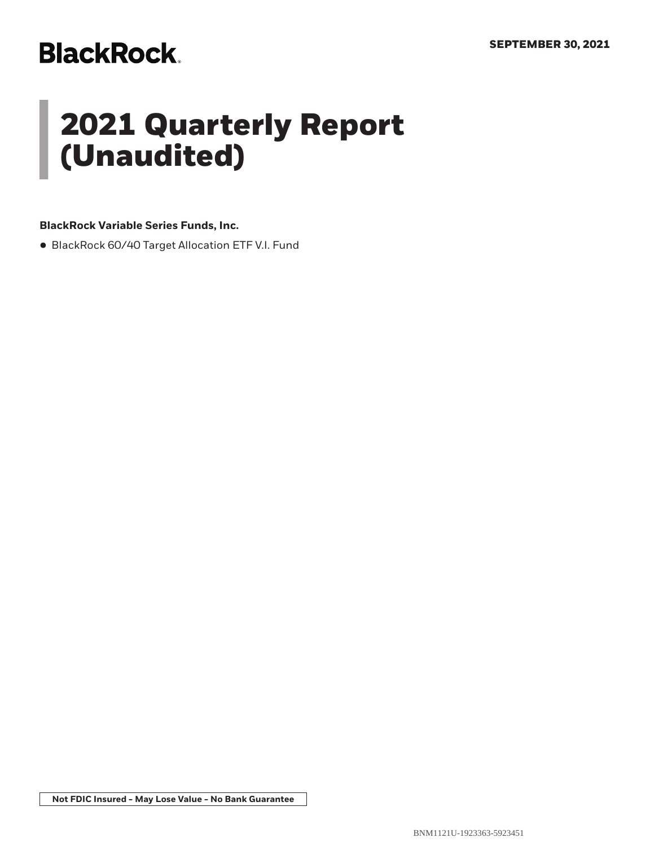# **BlackRock.**

# **2021 Quarterly Report (Unaudited)**

## **BlackRock Variable Series Funds, Inc.**

• BlackRock 60/40 Target Allocation ETF V.I. Fund

**Not FDIC Insured - May Lose Value - No Bank Guarantee**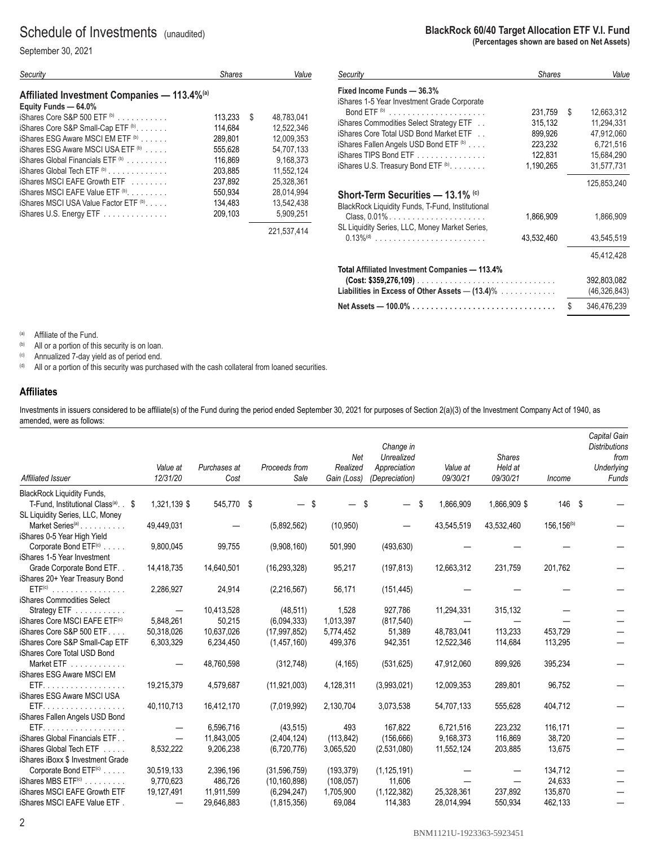## Schedule of Investments (unaudited)

September 30, 2021

| Security                                                                        | Shares                  | Value                    |
|---------------------------------------------------------------------------------|-------------------------|--------------------------|
| Affiliated Investment Companies - 113.4% <sup>(a)</sup><br>Equity Funds - 64.0% |                         |                          |
| $iS$ hares Core S&P 500 ETF $\phi$<br>iShares Core S&P Small-Cap ETF (b)        | 113.233<br>S<br>114.684 | 48.783.041<br>12.522.346 |
| iShares ESG Aware MSCI EM ETF <sup>(b)</sup>                                    | 289.801                 | 12.009.353               |
| iShares ESG Aware MSCI USA ETF (b)                                              | 555.628                 | 54.707.133               |
| iShares Global Financials ETF (b)                                               | 116.869                 | 9.168.373                |
| $i$ Shares Global Tech ETF $\phi$ ,<br>iShares MSCI EAFE Growth ETF             | 203.885<br>237,892      | 11.552.124<br>25.328.361 |
| iShares MSCI EAFE Value ETF (b)                                                 | 550.934                 | 28.014.994               |
| iShares MSCI USA Value Factor ETF (b),                                          | 134.483                 | 13.542.438               |
| iShares U.S. Energy ETF                                                         | 209.103                 | 5,909,251                |
|                                                                                 |                         | 221.537.414              |

#### **BlackRock 60/40 Target Allocation ETF V.I. Fund (Percentages shown are based on Net Assets)**

| Security                                          | <b>Shares</b> |    | Value          |
|---------------------------------------------------|---------------|----|----------------|
| Fixed Income Funds - 36.3%                        |               |    |                |
| iShares 1-5 Year Investment Grade Corporate       |               |    |                |
|                                                   | 231,759       | \$ | 12.663.312     |
| iShares Commodities Select Strategy ETF           | 315,132       |    | 11,294,331     |
| iShares Core Total USD Bond Market ETF            | 899.926       |    | 47,912,060     |
| iShares Fallen Angels USD Bond ETF (b)            | 223,232       |    | 6,721,516      |
| iShares TIPS Bond ETF                             | 122,831       |    | 15.684.290     |
| iShares U.S. Treasury Bond ETF (b).               | 1,190,265     |    | 31,577,731     |
|                                                   |               |    | 125,853,240    |
| Short-Term Securities — 13.1% ©                   |               |    |                |
| BlackRock Liquidity Funds, T-Fund, Institutional  |               |    |                |
| Class, 0.01%                                      | 1,866,909     |    | 1,866,909      |
| SL Liquidity Series, LLC, Money Market Series,    |               |    |                |
| $0.13\%$ <sup>(d)</sup>                           | 43.532.460    |    | 43.545.519     |
|                                                   |               |    |                |
|                                                   |               |    | 45,412,428     |
| Total Affiliated Investment Companies - 113.4%    |               |    |                |
|                                                   |               |    | 392,803,082    |
| Liabilities in Excess of Other Assets $-$ (13.4)% |               |    | (46, 326, 843) |
|                                                   |               |    |                |
| Net Assets — $100.0\%$                            |               | S  | 346,476,239    |

(a) Affiliate of the Fund.<br>(b) All or a portion of this security is on loan.

 $\hbox{\tt (c)}$  Annualized 7-day yield as of period end.

(d) All or a portion of this security was purchased with the cash collateral from loaned securities.

#### **Affiliates**

Investments in issuers considered to be affiliate(s) of the Fund during the period ended September 30, 2021 for purposes of Section 2(a)(3) of the Investment Company Act of 1940, as amended, were as follows:

| Affiliated Issuer                               | Value at<br>12/31/20 | Purchases at<br>Cost | Proceeds from<br>Sale | Net<br>Realized<br>Gain (Loss) | Change in<br>Unrealized<br>Appreciation<br>(Depreciation) |     | Value at<br>09/30/21 | <b>Shares</b><br>Held at<br>09/30/21 | Income                 | Capital Gain<br><b>Distributions</b><br>from<br>Underlying<br>Funds |
|-------------------------------------------------|----------------------|----------------------|-----------------------|--------------------------------|-----------------------------------------------------------|-----|----------------------|--------------------------------------|------------------------|---------------------------------------------------------------------|
| <b>BlackRock Liquidity Funds,</b>               |                      |                      |                       |                                |                                                           |     |                      |                                      |                        |                                                                     |
| T-Fund, Institutional Class <sup>(a)</sup> . \$ | 1,321,139 \$         | 545,770 \$           | - \$                  | \$.                            |                                                           | \$. | 1,866,909            | 1,866,909 \$                         | 146 \$                 |                                                                     |
| SL Liquidity Series, LLC, Money                 |                      |                      |                       |                                |                                                           |     |                      |                                      |                        |                                                                     |
| Market Series <sup>(a)</sup>                    | 49,449,031           |                      | (5,892,562)           | (10, 950)                      |                                                           |     | 43,545,519           | 43,532,460                           | 156,156 <sup>(b)</sup> |                                                                     |
| iShares 0-5 Year High Yield                     |                      |                      |                       |                                |                                                           |     |                      |                                      |                        |                                                                     |
| Corporate Bond ETF <sup>(c)</sup>               | 9,800,045            | 99,755               | (9,908,160)           | 501,990                        | (493, 630)                                                |     |                      |                                      |                        |                                                                     |
| iShares 1-5 Year Investment                     |                      |                      |                       |                                |                                                           |     |                      |                                      |                        |                                                                     |
| Grade Corporate Bond ETF                        | 14,418,735           | 14,640,501           | (16, 293, 328)        | 95,217                         | (197, 813)                                                |     | 12,663,312           | 231,759                              | 201,762                |                                                                     |
| iShares 20+ Year Treasury Bond                  |                      |                      |                       |                                |                                                           |     |                      |                                      |                        |                                                                     |
| $ETF(c)$                                        | 2,286,927            | 24,914               | (2,216,567)           | 56,171                         | (151, 445)                                                |     |                      |                                      |                        |                                                                     |
| iShares Commodities Select                      |                      |                      |                       |                                |                                                           |     |                      |                                      |                        |                                                                     |
| Strategy ETF                                    |                      | 10,413,528           | (48, 511)             | 1,528                          | 927,786                                                   |     | 11,294,331           | 315,132                              |                        |                                                                     |
| iShares Core MSCI EAFE ETF <sup>(c)</sup>       | 5,848,261            | 50,215               | (6,094,333)           | 1,013,397                      | (817, 540)                                                |     |                      |                                      |                        |                                                                     |
| iShares Core S&P 500 ETF                        | 50,318,026           | 10,637,026           | (17, 997, 852)        | 5,774,452                      | 51,389                                                    |     | 48.783.041           | 113.233                              | 453.729                |                                                                     |
| iShares Core S&P Small-Cap ETF                  | 6,303,329            | 6,234,450            | (1,457,160)           | 499,376                        | 942,351                                                   |     | 12,522,346           | 114,684                              | 113,295                |                                                                     |
| iShares Core Total USD Bond                     |                      |                      |                       |                                |                                                           |     |                      |                                      |                        |                                                                     |
| Market ETF                                      |                      | 48,760,598           | (312, 748)            | (4, 165)                       | (531, 625)                                                |     | 47,912,060           | 899,926                              | 395,234                |                                                                     |
| iShares ESG Aware MSCI EM                       |                      |                      |                       |                                |                                                           |     |                      |                                      |                        |                                                                     |
| ETF.                                            | 19,215,379           | 4,579,687            | (11, 921, 003)        | 4,128,311                      | (3,993,021)                                               |     | 12,009,353           | 289,801                              | 96,752                 |                                                                     |
| iShares ESG Aware MSCI USA                      |                      |                      |                       |                                |                                                           |     |                      |                                      |                        |                                                                     |
| ETF.                                            | 40,110,713           | 16,412,170           | (7,019,992)           | 2,130,704                      | 3,073,538                                                 |     | 54,707,133           | 555,628                              | 404,712                |                                                                     |
| iShares Fallen Angels USD Bond                  |                      |                      |                       |                                |                                                           |     |                      |                                      |                        |                                                                     |
| ETF.                                            |                      | 6,596,716            | (43, 515)             | 493                            | 167,822                                                   |     | 6,721,516            | 223,232                              | 116,171                |                                                                     |
| iShares Global Financials ETF                   |                      | 11,843,005           | (2,404,124)           | (113.842)                      | (156, 666)                                                |     | 9.168,373            | 116,869                              | 38,720                 |                                                                     |
| iShares Global Tech ETF                         | 8,532,222            | 9,206,238            | (6,720,776)           | 3,065,520                      | (2,531,080)                                               |     | 11,552,124           | 203,885                              | 13,675                 |                                                                     |
| iShares iBoxx \$ Investment Grade               |                      |                      |                       |                                |                                                           |     |                      |                                      |                        |                                                                     |
| Corporate Bond ETF <sup>(c)</sup>               | 30,519,133           | 2,396,196            | (31,596,759)          | (193, 379)                     | (1, 125, 191)                                             |     |                      |                                      | 134,712                |                                                                     |
| iShares MBS ETF <sup>(c)</sup>                  | 9,770,623            | 486,726              | (10, 160, 898)        | (108, 057)                     | 11,606                                                    |     |                      |                                      | 24,633                 |                                                                     |
| iShares MSCI EAFE Growth ETF                    | 19,127,491           | 11,911,599           | (6, 294, 247)         | 1,705,900                      | (1, 122, 382)                                             |     | 25,328,361           | 237,892                              | 135,870                |                                                                     |
| iShares MSCI EAFE Value ETF.                    |                      | 29,646,883           | (1, 815, 356)         | 69,084                         | 114,383                                                   |     | 28,014,994           | 550,934                              | 462,133                |                                                                     |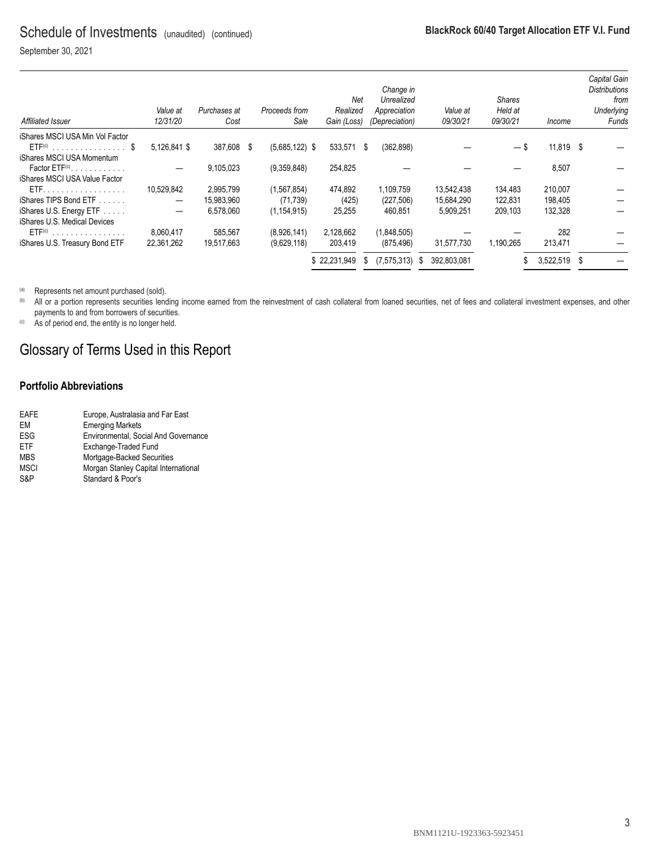September 30, 2021

| Affiliated Issuer               | Value at<br>12/31/20     | Purchases at<br>Cost |      | Proceeds from<br>Sale | Net<br>Realized<br>Gain (Loss) |    | Change in<br>Unrealized<br>Appreciation<br>(Depreciation) |   | Value at<br>09/30/21 | Shares<br>Held at<br>09/30/21 | <i>Income</i> | Capital Gain<br><b>Distributions</b><br>from<br>Underlying<br>Funds |
|---------------------------------|--------------------------|----------------------|------|-----------------------|--------------------------------|----|-----------------------------------------------------------|---|----------------------|-------------------------------|---------------|---------------------------------------------------------------------|
| iShares MSCI USA Min Vol Factor |                          |                      |      |                       |                                |    |                                                           |   |                      |                               |               |                                                                     |
| $ETF(c)$ \$                     | 5,126,841 \$             | 387,608              | - \$ | $(5,685,122)$ \$      | 533,571                        | \$ | (362, 898)                                                |   |                      | $-$ \$                        | 11,819 \$     |                                                                     |
| iShares MSCI USA Momentum       |                          |                      |      |                       |                                |    |                                                           |   |                      |                               |               |                                                                     |
| Factor $ETF(c)$                 |                          | 9,105,023            |      | (9,359,848)           | 254,825                        |    |                                                           |   |                      |                               | 8,507         |                                                                     |
| iShares MSCI USA Value Factor   |                          |                      |      |                       |                                |    |                                                           |   |                      |                               |               |                                                                     |
| ETF.                            | 10.529.842               | 2.995.799            |      | (1, 567, 854)         | 474.892                        |    | 1.109.759                                                 |   | 13.542.438           | 134,483                       | 210,007       |                                                                     |
| iShares TIPS Bond ETF           | $\overline{\phantom{m}}$ | 15,983,960           |      | (71, 739)             | (425)                          |    | (227, 506)                                                |   | 15,684,290           | 122,831                       | 198,405       |                                                                     |
| iShares U.S. Energy ETF         |                          | 6,578,060            |      | (1.154.915)           | 25,255                         |    | 460,851                                                   |   | 5,909,251            | 209,103                       | 132,328       |                                                                     |
| iShares U.S. Medical Devices    |                          |                      |      |                       |                                |    |                                                           |   |                      |                               |               |                                                                     |
| $ETF(c)$                        | 8.060.417                | 585.567              |      | (8.926.141)           | 2,128,662                      |    | (1,848,505)                                               |   |                      |                               | 282           |                                                                     |
| iShares U.S. Treasury Bond ETF  | 22,361,262               | 19,517,663           |      | (9,629,118)           | 203,419                        |    | (875, 496)                                                |   | 31,577,730           | 1.190.265                     | 213,471       |                                                                     |
|                                 |                          |                      |      |                       | \$22,231,949                   | S  | (7, 575, 313)                                             | S | 392,803,081          |                               | 3,522,519 \$  |                                                                     |

(a) Represents net amount purchased (sold).

(b) All or a portion represents securities lending income earned from the reinvestment of cash collateral from loaned securities, net of fees and collateral investment expenses, and other payments to and from borrowers of securities.

(c) As of period end, the entity is no longer held.

# Glossary of Terms Used in this Report

### **Portfolio Abbreviations**

| EAFE        | Europe, Australasia and Far East     |
|-------------|--------------------------------------|
| FM          | <b>Emerging Markets</b>              |
| <b>ESG</b>  | Environmental, Social And Governance |
| <b>FTF</b>  | Exchange-Traded Fund                 |
| <b>MBS</b>  | Mortgage-Backed Securities           |
| <b>MSCI</b> | Morgan Stanley Capital International |
| S&P         | Standard & Poor's                    |